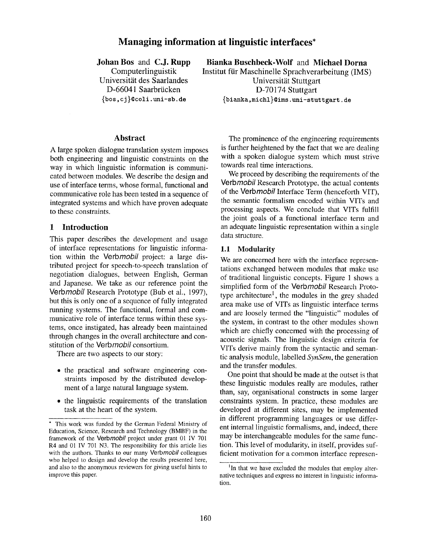# **Managing information at linguistic interfaces\***

**Johan Bos** and C.J. **Rupp**  Computerlinguistik

Universität des Saarlandes D-66041 Saarbrücken **{bos,** cj }©coli. uni-sb, de

**Bianka Buschbeck-Wolf and Michael Dorna**  Institut für Maschinelle Sprachverarbeitung (IMS) Universität Stuttgart **D-70174** Stuttgart {bianka, michl}~ims .uni-stuttgart. de

#### **Abstract**

A large spoken dialogue translation system imposes both engineering and linguistic constraints on the way in which linguistic information is communicated between modules. We describe the design and use of interface terms, whose formal, functional and communicative role has been tested in a sequence of integrated systems and which have proven adequate to these constraints.

#### **1 Introduction**

This paper describes the development and usage of interface representations for linguistic information within the *Verbmobil* project: a large distributed project for speech-to-speech translation of negotiation dialogues, between English, German and Japanese. We take as our reference point the *Verbmobil* Research Prototype (Bub et al., 1997), but this is only one of a sequence of fully integrated running systems. The functional, formal and communicative role of interface terms within these systems, once instigated, has already been maintained through changes in the overall architecture and constitution of the *Verbmobil* consortium.

There are two aspects to our story:

- the practical and software engineering constraints imposed by the distributed development of a large natural language system.
- the linguistic requirements of the translation task at the heart of the system.

The prominence of the engineering requirements is further heightened by the fact that we are dealing with a spoken dialogue system which must strive towards real time interactions.

We proceed by describing the requirements of the *Verbmobil* Research Prototype, the actual contents of the *Verbmobil* Interface Term (henceforth VIT), the semantic formalism encoded within VITs and processing aspects. We conclude that VITs fulfill the joint goals of a functional interface term and an adequate linguistic representation within a single data structure.

#### 1.1 **Modularity**

We are concerned here with the interface representations exchanged between modules that make use of traditional linguistic concepts. Figure 1 shows a simplified form of the *Verbmobil* Research Prototype architecture<sup>1</sup>, the modules in the grey shaded area make use of VITs as linguistic interface terms and are loosely termed the "linguistic" modules of the system, in contrast to the other modules shown which are chiefly concerned with the processing of acoustic signals. The linguistic design criteria for VITs derive mainly from the syntactic and semantic analysis module, labelled *SynSem,* the generation and the transfer modules.

One point that should be made at the outset is that these linguistic modules really are modules, rather than, say, organisational constructs in some larger constraints system. In practice, these modules are developed at different sites, may be implemented in different programming languages or use different internal linguistic formalisms, and, indeed, there may be interchangeable modules for the same function. This level of modularity, in itself, provides sufficient motivation for a common interface represen-

<sup>\*</sup> This work was funded by the German Federal Ministry of Education, Science, Research and Technology (BMBF) in the framework of the *Verbmobil* project under grant 01 IV 701 R4 and 01 IV 701 N3. The responsibility for this article lies with the authors. Thanks to our many *Verbmobil* colleagues who helped to design and develop the results presented here, and also to the anonymous reviewers for giving useful hints to improve this paper.

<sup>&</sup>lt;sup>1</sup>In that we have excluded the modules that employ alternative techniques and express no interest in linguistic information.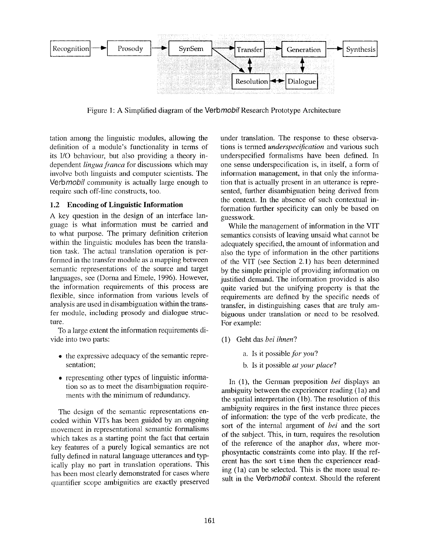

Figure 1: A Simplified diagram of the *Verbmobil* Research Prototype Architecture

tation among the linguistic modules, allowing the definition of a module's functionality in terms of its I/O behaviour, but also providing a theory independent *lingua franca* for discussions which may involve both linguists and computer scientists. The Verb*mobil* community is actually large enough to require such off-line constructs, too.

### **1.2 Encoding of Linguistic Information**

A key question in the design of an interface language is what information must be carried and to what purpose. The primary definition criterion within the linguistic modules has been the translation task. The actual translation operation is performed in the transfer module as a mapping between semantic representations of the source and target languages, see (Dorna and Emele, 1996). However, the information requirements of this process are flexible, since information from various levels of analysis are used in disambiguation within the transfer module, including prosody and dialogue structure.

To a large extent the information requirements divide into two parts:

- the expressive adequacy of the semantic representation;
- representing other types of linguistic information so as to meet the disambiguation requirements with the minimum of redundancy.

The design of the semantic representations encoded within VITs has been guided by an ongoing movement in representational semantic formalisms which takes as a starting point the fact that certain key features of a purely logical semantics are not fully defined in natural language utterances and typically play no part in translation operations. This has been most clearly demonstrated for cases where quantifier scope ambiguities are exactly preserved

under translation. The response to these observations is termed *underspecification* and various such underspecified formalisms have been defined. In one sense underspecification is, in itself, a form of information management, in that only the information that is actually present in an utterance is represented, further disambiguation being derived from the context. In the absence of such contextual information further specificity can only be based on guesswork.

While the management of information in the VIT semantics consists of leaving unsaid what cannot be adequately specified, the amount of information and also the type of information in the other partitions of the VIT (see Section 2.1) has been determined by the simple principle of providing information on justified demand. The information provided is also quite varied but the unifying property is that the requirements are defined by the specific needs of transfer, in distinguishing cases that are truly ambiguous under translation or need to be resolved. For example:

- (1) Geht das *bei ihnen?* 
	- a. Is it possible,for *you?*
	- b. ls it possible *at your place?*

In (1), the German preposition *bei* displays an ambiguity between the experiencer reading (1a) and the spatial interpretation (1b). The resolution of this ambiguity requires in the first instance three pieces of information: the type of the verb predicate, the sort of the internal argument of *bei* and the sort of the subject. This, in turn, requires the resolution of the reference of the anaphor *das,* where morphosyntactic constraints come into play. If the referent has the sort time then the experiencer reading (la) can be selected. This is the more usual result in the *Verbmobil* context. Should the referent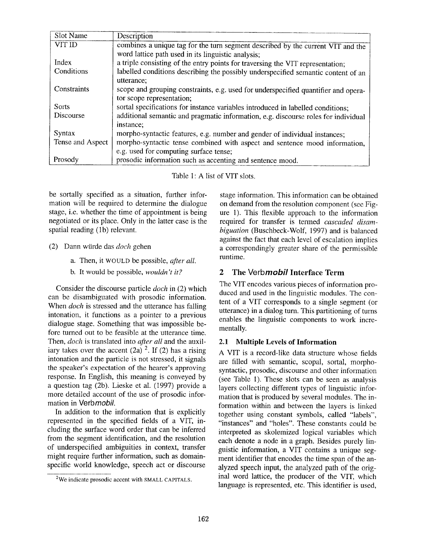| Slot Name        | Description                                                                        |  |  |
|------------------|------------------------------------------------------------------------------------|--|--|
| <b>VIT ID</b>    | combines a unique tag for the turn segment described by the current VIT and the    |  |  |
|                  |                                                                                    |  |  |
|                  | word lattice path used in its linguistic analysis;                                 |  |  |
| Index            | a triple consisting of the entry points for traversing the VIT representation;     |  |  |
| Conditions       | labelled conditions describing the possibly underspecified semantic content of an  |  |  |
|                  | utterance;                                                                         |  |  |
| Constraints      | scope and grouping constraints, e.g. used for underspecified quantifier and opera- |  |  |
|                  | tor scope representation;                                                          |  |  |
| <b>Sorts</b>     | sortal specifications for instance variables introduced in labelled conditions;    |  |  |
| Discourse        | additional semantic and pragmatic information, e.g. discourse roles for individual |  |  |
|                  | instance;                                                                          |  |  |
| Syntax           | morpho-syntactic features, e.g. number and gender of individual instances;         |  |  |
| Tense and Aspect | morpho-syntactic tense combined with aspect and sentence mood information,         |  |  |
|                  | e.g. used for computing surface tense;                                             |  |  |
| Prosody          | prosodic information such as accenting and sentence mood.                          |  |  |

Table 1: A list of VIT slots.

be sortally specified as a situation, further information will be required to determine the dialogue stage, i.e. whether the time of appointment is being negotiated or its place. Only in the latter case is the spatial reading (1b) relevant.

- (2) Dann w~irde das *doch* gehen
	- a. Then, it WOULD be possible, *after all.*
	- b. It would be possible, *wouldn't it?*

Consider the discourse particle *doch* in (2) which can be disambiguated with prosodic information. When *doch* is stressed and the utterance has falling intonation, it functions as a pointer to a previous dialogue stage. Something that was impossible before turned out to be feasible at the utterance time. Then, *doch* is translated into *after all* and the auxiliary takes over the accent  $(2a)$  <sup>2</sup>. If (2) has a rising intonation and the particle is not stressed, it signals the speaker's expectation of the hearer's approving response. In English, this meaning is conveyed by a question tag (2b). Lieske et al. (1997) provide a more detailed account of the use of prosodic information in *Verbmobfl.* 

In addition to the information that is explicitly represented in the specified fields of a VIT, including the surface word order that can be inferred from the segment identification, and the resolution of underspecified ambiguities in context, transfer might require further information, such as domainspecific world knowledge, speech act or discourse

stage information. This information can be obtained on demand from the resolution component (see Figure 1). This flexible approach to the information required for transfer is termed *cascaded disambiguation* (Buschbeck-Wolf, 1997) and is balanced against the fact that each level of escalation implies a correspondingly greater share of the permissible runtime.

### 2 The *Verbmobil* Interface Term

The VIT encodes various pieces of information produced and used in the linguistic modules. The content of a VIT corresponds to a single segment (or utterance) in a dialog turn. This partitioning of turns enables the linguistic components to work incrementally.

### **2.1 Multiple Levels of Information**

A VIT is a record-like data structure whose fields are filled with semantic, scopal, sortal, morphosyntactic, prosodic, discourse and other information (see Table 1). These slots can be seen as analysis layers collecting different types of linguistic information that is produced by several modules. The information within and between the layers is linked together using constant symbols, called "labels", "instances" and "holes". These constants could be interpreted as skolemized logical variables which each denote a node in a graph. Besides purely linguistic information, a VIT contains a unique segment identifier that encodes the time span of the analyzed speech input, the analyzed path of the original word lattice, the producer of the VIT, which language is represented, etc. This identifier is used,

<sup>2</sup>We indicate prosodic accent with SMALL CAPITALS.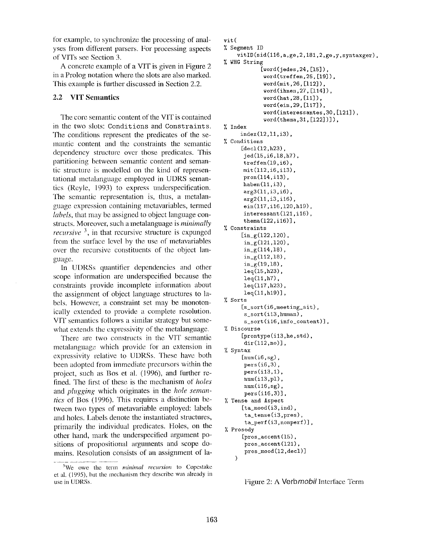for example, to synchronize the processing of analyses from different parsers. For processing aspects of VITs see Section 3.

A concrete example of a VIT is given in Figure 2 in a Prolog notation where the slots are also marked. This example is further discussed in Section 2.2.

#### **2.2 VIT Semantics**

The core semantic content of the VIT is contained in the two slots: Conditions and Constraints. The conditions represent the predicates of the semantic content and the constraints the semantic dependency structure over those predicates. This partitioning between semantic content and semantic structure is modelled on the kind of representational metahmguage employed in UDRS semantics (Rcyle, 1993) to express underspecification. The semantic representation is, thus, a metalanguage expression containing mctavariables, termed *labels,* that may be assigned to object language constructs. Moreover, such a metalanguage is *minimally recursive* 3, in that recursive structure is expunged from the surface level by the use of metavariables over the recursive constituents of the object hmguage.

In UDRSs quantifier dependencies and other scope information are underspecified because the constraints provide incomplete information about the assignment of object language structures to labels. However, a constraint set may be monotonically extended to provide a complete resolution. VYF semantics follows a similar strategy but somewhat extends the cxpressivity of the metalanguage.

There are two constructs in the VIT semantic metalanguage which provide for an extension in expressivity relative to UDRSs. These have both been adopted from immediate precursors within the project, such as Bos et al. (1996), and further refined. The first of these is the mechanism of *holes*  and *plugging* which originates in the *hole semantics* of Bos (1996). This requires a distinction between two types of metavariable employed: labels and holes. Labels denote the instantiated structures, primarily the individual predicates. Holes, on the other hand, mark the underspecified argument positions of propositional arguments and scope domains. Resolution consists of an assignment of la-

```
vit( 
Segment ID 
    vitID(sid(ll6,a,ge,2,181,2,ge,y,syntaxger), 
WHG String 
            [word(jedes, 24, [15]),
             word(treffen,25,[19]), 
             word(mit,26,[l12]), 
             word(ihnen,27,[l14]), 
             word(hat,28,[ll]), 
             word(ein,29,[llT]), 
             word(interessantes,30,[121]), 
             word(thema,3t,[122])]), 
% Index
     index(12,11,i3), 
% Conditions
      [decl(12,h23), 
      jed(15,i6,18,h7), 
      treffen(19,i6), 
      mit(ll2,i6,il3), 
      pron(ll4,il3), 
      haben(11, i3),
      arg3(ll,i3,i6), 
      arg2(ll,i3,il6), 
      ein(llY,il6,120,hlg), 
      interessant(121,il6), 
      thena(122, i16)],
Constraints 
      \left[\text{in}_{g}(122,120)\right].
      in_{g}(121,120),
      in_{g}(114,18),in_g(112,18),
      in_{g(19,18)},
      leq(15,h23), 
      leq(11,h7),
      leq(l17,h23), 
      leq(ll,hl9)], 
% Sorts 
      [s_sort(i6,meeting_sit), 
      s sort(i13, human),
       s_sort(i16,info_content)],
Z Discourse 
      [prontype(il3,he,std), 
      dir(ll2,no)], 
% Syntax 
      [num(i6, sg),pers(i6,3),
      pers(il3,1), 
      num(il3,pl), 
      num(i16,sg), 
       pers(il6,3)], 
% Tense and Aspect 
      [ta_model(i3,ind),ta_tense(i3,pres),
       ta_perf(i3,nonperf)],
% Prosody 
      [pros_accent(15), 
      pros_accent(121), 
       pros_mood(12,decl)] 
   )
```
Figure 2: A *Verbmobil* Interface Term

<sup>&</sup>lt;sup>3</sup>We owe the term *minimal recursion* to Copestake et al. (1995), but the mechanism they describe was already in use in UDRSs.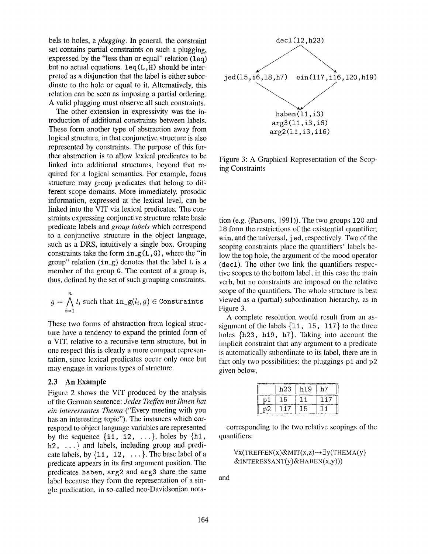bels to holes, a *plugging.* In general, the constraint set contains partial constraints on such a plugging, expressed by the "less than or equal" relation  $(1eq)$ but no actual equations,  $\text{leq}(L,H)$  should be interpreted as a disjunction that the label is either subordinate to the hole or equal to it. Alternatively, this relation can be seen as imposing a partial ordering. A valid plugging must observe all such constraints.

The other extension in expressivity was the introduction of additional constraints between labels. These form another type of abstraction away from logical structure, in that conjunctive structure is also represented by constraints. The purpose of this further abstraction is to allow lexical predicates to be linked into additional structures, beyond that required for a logical semantics. For example, focus structure may group predicates that belong to different scope domains. More immediately, prosodic information, expressed at the lexical level, can be linked into the VIT via lexical predicates. The constraints expressing conjunctive structure relate basic predicate labels and *group labels* which correspond to a conjunctive structure in the object language, such as a DRS, intuitively a single box. Grouping constraints take the form  $in_g(L, G)$ , where the "in group" relation  $(in_g)$  denotes that the label L is a member of the group G. The content of a group is, thus, defined by the set of such grouping constraints.

$$
g = \bigwedge_{i=1}^{n} l_i
$$
 such that  $\text{in}_{-\mathcal{B}}(l_i, g) \in \text{Constraints}$ 

These two forms of abstraction from logical structure have a tendency to expand the printed form of a VIT, relative to a recursive term structure, but in one respect this is clearly a more compact representation, since lexical predicates occur only once but may engage in various types of structure.

#### 2,3 An Example

Figure 2 shows the VIT produced by the analysis of the German sentence: *Jedes Treffen mit lhnen hat ein interessantes Thema* ("Every meeting with you has an interesting topic"). The instances which correspond to object language variables are represented by the sequence  $\{i1, i2, \ldots\}$ , holes by  $\{h1,$  $h2, \ldots$  and labels, including group and predicate labels, by  $\{11, 12, \ldots\}$ . The base label of a predicate appears in its first argument position. The predicates haben, arg2 and arg3 share the same label because they form the representation of a single predication, in so-called neo-Davidsonian nota-



Figure 3: A Graphical Representation of the Scoping Constraints

tion (e.g. (Parsons, 1991)). The two groups 120 and 18 form the restrictions of the existential quantifier, ein, and the universal, j ed, respectively. Two of the scoping constraints place the quantifiers' labels below the top hole, the argument of the mood operator (dec1). The other two link the quantifiers respective scopes to the bottom label, in this case the main verb, but no constraints are imposed on the relative scope of the quantifiers. The whole structure is best viewed as a (partial) subordination hierarchy, as in Figure 3.

A complete resolution would result from an assignment of the labels  $\{11, 15, 117\}$  to the three holes {h23, h19, h7}. Taking into account the implicit constraint that any argument to a predicate is automatically subordinate to its label, there are in fact only two possibilities: the pluggings  $p1$  and  $p2$ given below,

|    | h23. | h19 | n i |
|----|------|-----|-----|
| pl | 15   |     |     |
| υ2 | 117  | 15  |     |

corresponding to the two relative scopings of the quantifiers:

```
\forall x(TREFFEN(x)&MIT(x,z)-+ \exists y(THEMA(y)
&INTERESSANT(y)&HABEN(x,y))
```
and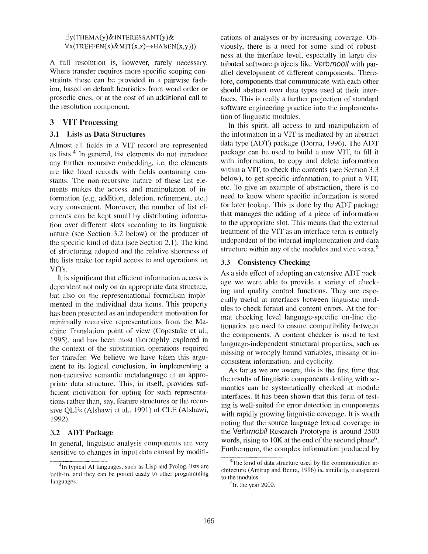#### $\exists y$ (THEMA(y)&INTERESSANT(y)&  $\forall x$ (TREFFEN(x)&MIT(x,z)-+ HABEN(x,y)))

A full resolution is, however, rarely necessary. Where transfer requires more specific scoping constraints these can be provided in a pairwise fashion, based on default heuristics from word order or prosodic cues, or at the cost of an additional call to the resolution component.

#### 3 VIT Processing

#### **3.1 Lists as Data Structures**

Almost all fields in a VIT record are represented as lists. 4 In general, list elements do not introduce any further recursive embedding, i.e, the elements are like fixed records with fields containing constants. The non-recursive nature of these list elements makes the access and manipulation of information (e.g. addition, deletion, refinement, etc.) very convenient. Moreover, the number of list elements can be kept small by distributing information over different slots according to its linguistic nature (see Section 3.2 below) or the producer of the specific kind of data (see Section 2.1). The kind of structuring adopted and the relative shortness of the lists make for rapid access to and operations on VITs.

It is significant that efficient information access is dependent not only on an appropriate data structure, but also on the representational formalism implemented in the individual data items. This property has been presented as an independent motivation for minimally recursive representations from the Machine Translation point of view (Copestake et al., 1995), and has been most thoroughly explored in the context of the substitution operations required for transfer. We believe we have taken this argument to its logical conclusion, in implementing a non-recursive semantic metalanguage in an appropriate data structure. This, in itself, provides sufficient motivation for opting for such representations rather than, say, feature structures or the recursive QLFs (Alshawi et al., 1991) of CLE (Alshawi, 1992).

### 3.2 ADT Package

In general, linguistic analysis components are very sensitive to changes in input data caused by modifications of analyses or by increasing coverage. Obviously, there is a need for some kind of robusthess at the interface level, especially in large distributed software projects like *VerbmoDil* with parallel development of different components. Therefore, components that communicate with each other should abstract over data types used at their interfaces. This is really a further projection of standard software engineering practice into the implementation of linguistic modules.

In this spirit, all access to and manipulation of the information in a VIT is mediated by an abstract data type (ADT) package (Dorna, 1996). The ADT package can be used to build a new VIT, to fill it with information, to copy and delete information within a VIT, to check the contents (see Section 3.3 below), to get specific information, to print a VIT, etc. To give an example of abstraction, there is no need to know where specific information is stored for later lookup. This is done by the ADT package that manages the adding of a piece of information to the appropriate slot. This means that the external treatment of the VIT as an interface term is entirely independent of the internal implementation and data structure within any of the modules and vice versa.<sup>5</sup>

#### **3.3 Consistency Checking**

As a side effect of adopting an extensive ADT package we were able to provide a variety of checking and quality control functions. They are especially useful at interfaces between linguistic modules to check format and content errors. At the format checking level language-specific on-line dictionaries are used to ensure compatibility between the components. A content checker is used to test language-independent structural properties, such as missing or wrongly bound variables, missing or inconsistent information, and cyclicity.

As far as we are aware, this is the first time that the results of linguistic components dealing with semantics can be systematically checked at module interfaces. It has been shown that this form of testing is well-suited for error detection in components with rapidly growing linguistic coverage. It is worth noting that the source language lexical coverage in the *Verbmobil* Research Prototype is around 2500 words, rising to  $10K$  at the end of the second phase<sup>6</sup>. Furthermore, the complex information produced by

<sup>&</sup>lt;sup>4</sup>In typical AI languages, such as Lisp and Prolog, lists are built-in, and they can be ported easily to other programming languages.

<sup>5</sup>The kind of data structure used by the communication architecture (Amtrup and Benra, 1996) is, simihuly, transparent to the modules.

 $\mathrm{^6}$ In the year 2000.